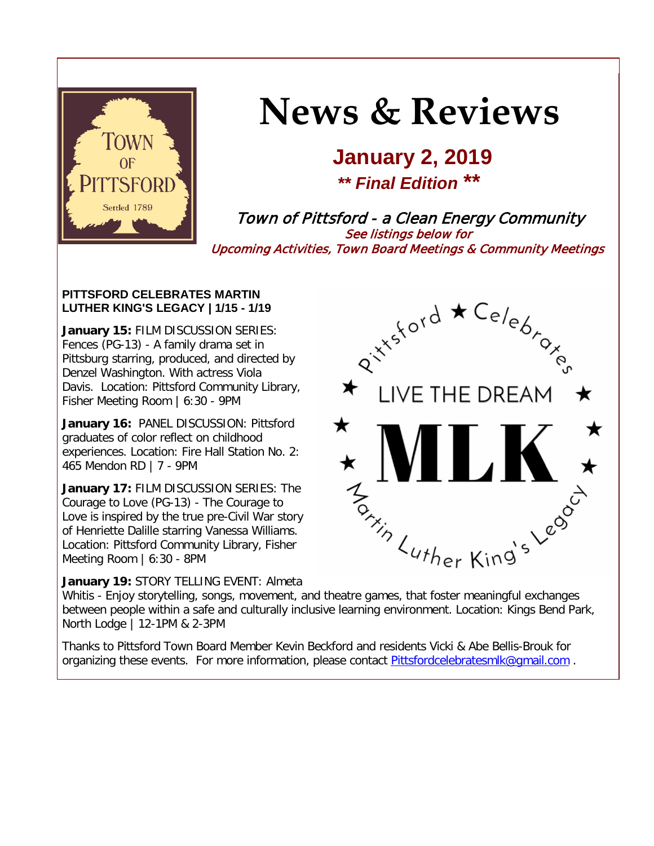

# **News & Reviews**

# **January 2, 2019** *\*\* Final Edition* **\*\***

Town of Pittsford - a Clean Energy Community See listings below for Upcoming Activities, Town Board Meetings & Community Meetings

#### **PITTSFORD CELEBRATES MARTIN LUTHER KING'S LEGACY | 1/15 - 1/19**

**January 15:** FILM DISCUSSION SERIES: Fences (PG-13) - A family drama set in Pittsburg starring, produced, and directed by Denzel Washington. With actress Viola Davis. Location: Pittsford Community Library, Fisher Meeting Room | 6:30 - 9PM

**January 16:** PANEL DISCUSSION: Pittsford graduates of color reflect on childhood experiences. Location: Fire Hall Station No. 2: 465 Mendon RD | 7 - 9PM

**January 17:** FILM DISCUSSION SERIES: The Courage to Love (PG-13) - The Courage to Love is inspired by the true pre-Civil War story of Henriette Dalille starring Vanessa Williams. Location: Pittsford Community Library, Fisher Meeting Room | 6:30 - 8PM

#### **January 19:** STORY TELLING EVENT: Almeta



Whitis - Enjoy storytelling, songs, movement, and theatre games, that foster meaningful exchanges between people within a safe and culturally inclusive learning environment. Location: Kings Bend Park, North Lodge | 12-1PM & 2-3PM

Thanks to Pittsford Town Board Member Kevin Beckford and residents Vicki & Abe Bellis-Brouk for organizing these events. For more information, please contact [Pittsfordcelebratesmlk@gmail.com](mailto:Pittsfordcelebratesmlk@gmail.com) .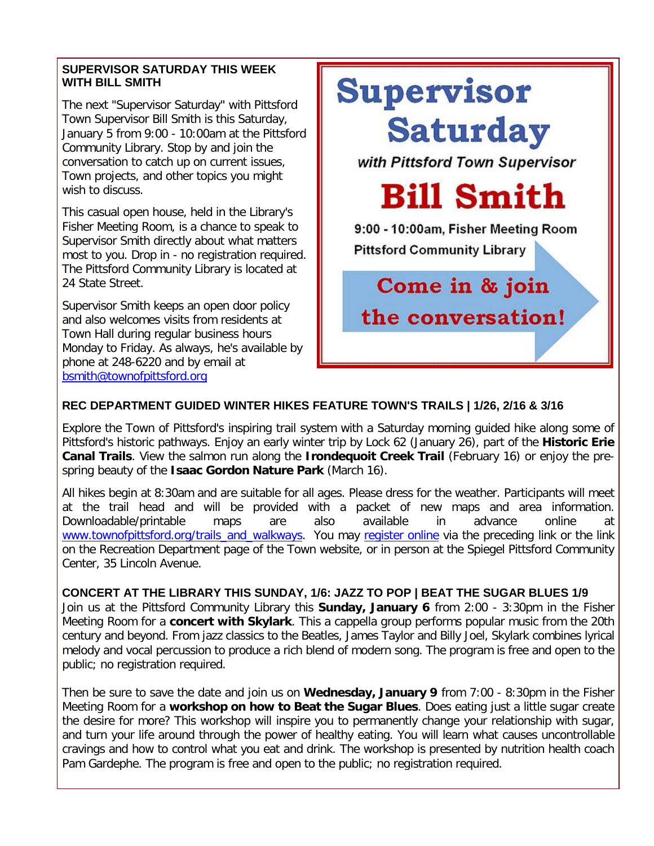#### **SUPERVISOR SATURDAY THIS WEEK WITH BILL SMITH**

The next "Supervisor Saturday" with Pittsford Town Supervisor Bill Smith is this Saturday, January 5 from 9:00 - 10:00am at the Pittsford Community Library. Stop by and join the conversation to catch up on current issues, Town projects, and other topics you might wish to discuss.

This casual open house, held in the Library's Fisher Meeting Room, is a chance to speak to Supervisor Smith directly about what matters most to you. Drop in - no registration required. The Pittsford Community Library is located at 24 State Street.

Supervisor Smith keeps an open door policy and also welcomes visits from residents at Town Hall during regular business hours Monday to Friday. As always, he's available by phone at 248-6220 and by email at [bsmith@townofpittsford.org](mailto:bsmith@townofpittsford.org)



### **REC DEPARTMENT GUIDED WINTER HIKES FEATURE TOWN'S TRAILS | 1/26, 2/16 & 3/16**

Explore the Town of Pittsford's inspiring trail system with a Saturday morning guided hike along some of Pittsford's historic pathways. Enjoy an early winter trip by Lock 62 (January 26), part of the **Historic Erie Canal Trails**. View the salmon run along the **Irondequoit Creek Trail** (February 16) or enjoy the prespring beauty of the **Isaac Gordon Nature Park** (March 16).

All hikes begin at 8:30am and are suitable for all ages. Please dress for the weather. Participants will meet at the trail head and will be provided with a packet of new maps and area information. Downloadable/printable maps are also available in advance online at [www.townofpittsford.org/trails\\_and\\_walkways.](http://r20.rs6.net/tn.jsp?f=001z6rxLu0QicAOgFI-QZjpQ6DVkm8_qNC6Jbs9n8__GNq5k7xFkuMdovHraeUPhXX6HmPwjcZzCUyaQ4DfS1rNg_Rt8csV13Uu39jVFYEZ36mf8bH5y06Phj_LZnapHjY-yJYqKidfqRUo-BYxxqnxnj15g-MuYVBVh8XL7OSbI2M48pwC3iNmcNTn1Hx35qcJbnTwMsAhdZoZKzFXaRlfRS8skvXyKIvwl-KUPLvQ_H9yH5ijZYeaQmSFIZxC0kUM6OznQVTgWQYZzbG6SwhkBGD1iK9ku_cjtb_ZIosEUWpMLcBgZL5xuygHA5ImckmK6UkJL-HM-FITmqgDuaD7T9U0E0b1mdultsD-b3sUkFKzTcHev4fQOg==&c=JOJlmCrCYqPbGeW6sSs86hmFv7pbMTm2H35ElS0IO91-8tOhgdesJA==&ch=fRpijdKTaITLyia4IadxID9qC4ixyaXZVg3rZrg7HtHJbWe-yvt_aQ==) You may [register online](http://r20.rs6.net/tn.jsp?f=001z6rxLu0QicAOgFI-QZjpQ6DVkm8_qNC6Jbs9n8__GNq5k7xFkuMdovhfmufIhU-MpoWRVqpJQDIFr3nQs3ciMUMRDkYTQoRIcehKTKbaYTN2VdhW2P1A7Pbsi6bWZ4mBah3KBYtHLCUi7gsFBY_Faga42CCDLVL-mD-GAUtMvt7kZAxBbsdAd_mn1YxG-9-vpWoyVptqPFRnwmPBzveZhdR0C7AG-FteoWRu0l-J4GffKK0pdcHQwKt4_8iKDXH6dBmEVUOMnHVnXGcjxFYfebM5NDy6xMCIj968ndORJBS2OZUfyBb6MqVXPezss_lh9HgN1A-cR1-KZ_HOPcOXu04Ofcp50oe_GnI0w1T_EzVoqhMrA1hNnHqyZ456MxLyq-C9tI8BZF7CqLvPoXeRucq42HXzEYZCBITtiwS4nHpQemKcIYykW11Iqg15QJtrL8hB5fovYLgppd7WWedxNA==&c=JOJlmCrCYqPbGeW6sSs86hmFv7pbMTm2H35ElS0IO91-8tOhgdesJA==&ch=fRpijdKTaITLyia4IadxID9qC4ixyaXZVg3rZrg7HtHJbWe-yvt_aQ==) via the preceding link or the link on the Recreation Department page of the Town website, or in person at the Spiegel Pittsford Community Center, 35 Lincoln Avenue.

#### **CONCERT AT THE LIBRARY THIS SUNDAY, 1/6: JAZZ TO POP | BEAT THE SUGAR BLUES 1/9**

Join us at the Pittsford Community Library this **Sunday, January 6** from 2:00 - 3:30pm in the Fisher Meeting Room for a **concert with Skylark**. This a cappella group performs popular music from the 20th century and beyond. From jazz classics to the Beatles, James Taylor and Billy Joel, Skylark combines lyrical melody and vocal percussion to produce a rich blend of modern song. The program is free and open to the public; no registration required.

Then be sure to save the date and join us on **Wednesday, January 9** from 7:00 - 8:30pm in the Fisher Meeting Room for a **workshop on how to Beat the Sugar Blues**. Does eating just a little sugar create the desire for more? This workshop will inspire you to permanently change your relationship with sugar, and turn your life around through the power of healthy eating. You will learn what causes uncontrollable cravings and how to control what you eat and drink. The workshop is presented by nutrition health coach Pam Gardephe. The program is free and open to the public; no registration required.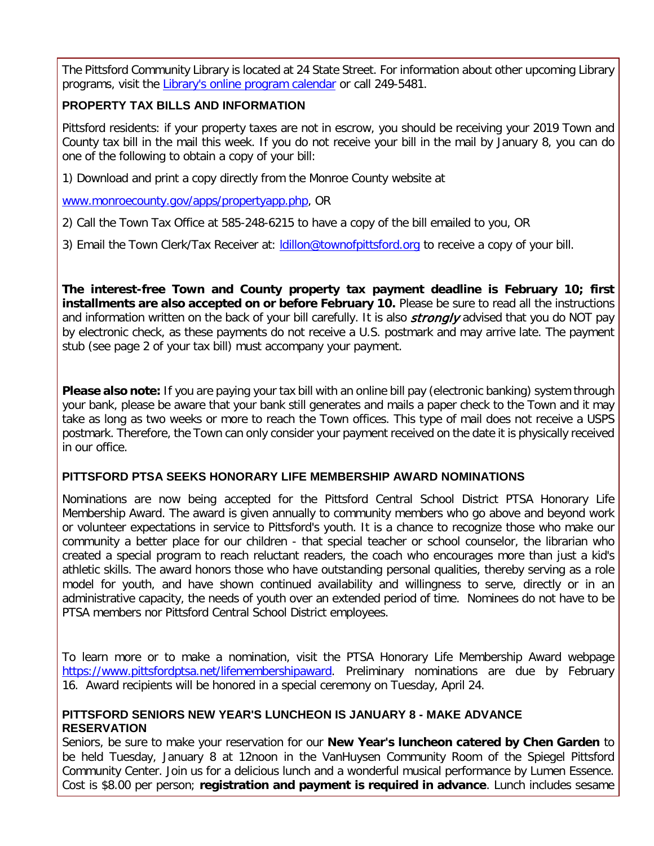The Pittsford Community Library is located at 24 State Street. For information about other upcoming Library programs, visit the [Library's online program calendar](http://r20.rs6.net/tn.jsp?f=001z6rxLu0QicAOgFI-QZjpQ6DVkm8_qNC6Jbs9n8__GNq5k7xFkuMdotlGuwq7KFP19vMWpDiuqgPopK3GsvkW7Ywg8b_kxB84oa429hIZTBJoMNsyhBobw0UKQyiiGLZm4EetG1MB-vd2rCmBgWilLi7AN85UD4QLBD4tZn7w5u61IDXtab2v8nVPfZI9pZYXwJZnnupc5QsiBzY0VtftM2EZ1O-uZLSQE91VNm7XQN9Qi1D6fBlnS8A6248AS_aaSinZYj-lplWVtm5xMi63pEoSmUXRF8d2gnLNX9EWXKubERmpUHHZVYGGnMKfUsOvDwYpEDTZMt6FQeeWWsXdPuK-qGpVS6M-flhIrhvlaqJV30hNqt3zmWiFQ1ELa2t0-XXzBScF82HYivq02ldxDUiVr4_2Acma2xl5OvfC5r7yB3JzaB5vZlGZzLyE2_0bASlDn2fCYPA=&c=JOJlmCrCYqPbGeW6sSs86hmFv7pbMTm2H35ElS0IO91-8tOhgdesJA==&ch=fRpijdKTaITLyia4IadxID9qC4ixyaXZVg3rZrg7HtHJbWe-yvt_aQ==) or call 249-5481.

#### **PROPERTY TAX BILLS AND INFORMATION**

Pittsford residents: if your property taxes are not in escrow, you should be receiving your 2019 Town and County tax bill in the mail this week. If you do not receive your bill in the mail by January 8, you can do one of the following to obtain a copy of your bill:

1) Download and print a copy directly from the Monroe County website at

[www.monroecounty.gov/apps/propertyapp.php,](http://r20.rs6.net/tn.jsp?f=001z6rxLu0QicAOgFI-QZjpQ6DVkm8_qNC6Jbs9n8__GNq5k7xFkuMdoiH9YlTq8-8iwqR5VRItpRrTZT93G6TGnqIDI5xTdqwBoGRcM_Bt9CL08gTpO29K51BrC55mfcLC-M8XYaLWanguR6j8bk9WxbMW9z46jqKRfQf8A7IgsDRdVlwiGyJHXQCM0VFg0MgILFWpsRtfqv3mFVK0YJebU6i_lQPX47SFd1G-aLFg_rhc5Sh-RNjtxps8OJ2L76_6XcBcEDKnAOmP2cYpQ1fDEP85P9kvM1uxMiX0QVSZW2Fe5U2jrBp4wVNjsVLkJYupc034uEj9Fn1sNbk3FJDRwjKuInI7BGUnXT5E6xDys3jjFs1dBDGpRw==&c=JOJlmCrCYqPbGeW6sSs86hmFv7pbMTm2H35ElS0IO91-8tOhgdesJA==&ch=fRpijdKTaITLyia4IadxID9qC4ixyaXZVg3rZrg7HtHJbWe-yvt_aQ==) OR

2) Call the Town Tax Office at 585-248-6215 to have a copy of the bill emailed to you, OR

3) Email the Town Clerk/Tax Receiver at: [ldillon@townofpittsford.org](mailto:ldillon@townofpittsford.org) to receive a copy of your bill.

**The interest-free Town and County property tax payment deadline is February 10; first installments are also accepted on or before February 10.** Please be sure to read all the instructions and information written on the back of your bill carefully. It is also *strongly* advised that you do NOT pay by electronic check, as these payments do not receive a U.S. postmark and may arrive late. The payment stub (see page 2 of your tax bill) must accompany your payment.

**Please also note:** If you are paying your tax bill with an online bill pay (electronic banking) system through your bank, please be aware that your bank still generates and mails a paper check to the Town and it may take as long as two weeks or more to reach the Town offices. This type of mail does not receive a USPS postmark. Therefore, the Town can only consider your payment received on the date it is physically received in our office.

#### **PITTSFORD PTSA SEEKS HONORARY LIFE MEMBERSHIP AWARD NOMINATIONS**

Nominations are now being accepted for the Pittsford Central School District PTSA Honorary Life Membership Award. The award is given annually to community members who go above and beyond work or volunteer expectations in service to Pittsford's youth. It is a chance to recognize those who make our community a better place for our children - that special teacher or school counselor, the librarian who created a special program to reach reluctant readers, the coach who encourages more than just a kid's athletic skills. The award honors those who have outstanding personal qualities, thereby serving as a role model for youth, and have shown continued availability and willingness to serve, directly or in an administrative capacity, the needs of youth over an extended period of time. Nominees do not have to be PTSA members nor Pittsford Central School District employees.

To learn more or to make a nomination, visit the PTSA Honorary Life Membership Award webpage [https://www.pittsfordptsa.net/lifemembershipaward.](http://r20.rs6.net/tn.jsp?f=001z6rxLu0QicAOgFI-QZjpQ6DVkm8_qNC6Jbs9n8__GNq5k7xFkuMdolxZmEP_oSKiSuaPi_cded-0pawm7pI6pp49rpEsa-PS-iKFA0NG6ISADw1URzS1IJMtaRvGiuJ82_t7BCVvjBmnKNv7hqjdhIe9Xc9P8qYnCET2ftdRBSMtKp6kR3s5ipTGVmhN0QeKzj7lCWt3PRLcs8zN4UajIM-vjD0wNqjxJYURQXrxNSFoKIdboduXeVLx2OVT-sewUhplP8O1oY7n6jNMWczH3KezAfB56BhLkLsb8yPsDgCd6jolcqUkmQ2JPObakFPd8sahdf9xeieG3rZHdBDH1wLhwO30WHl8gc6_izSARmgIscp0R56ptw==&c=JOJlmCrCYqPbGeW6sSs86hmFv7pbMTm2H35ElS0IO91-8tOhgdesJA==&ch=fRpijdKTaITLyia4IadxID9qC4ixyaXZVg3rZrg7HtHJbWe-yvt_aQ==) Preliminary nominations are due by February 16. Award recipients will be honored in a special ceremony on Tuesday, April 24.

#### **PITTSFORD SENIORS NEW YEAR'S LUNCHEON IS JANUARY 8 - MAKE ADVANCE RESERVATION**

Seniors, be sure to make your reservation for our **New Year's luncheon catered by Chen Garden** to be held Tuesday, January 8 at 12noon in the VanHuysen Community Room of the Spiegel Pittsford Community Center. Join us for a delicious lunch and a wonderful musical performance by Lumen Essence. Cost is \$8.00 per person; **registration and payment is required in advance**. Lunch includes sesame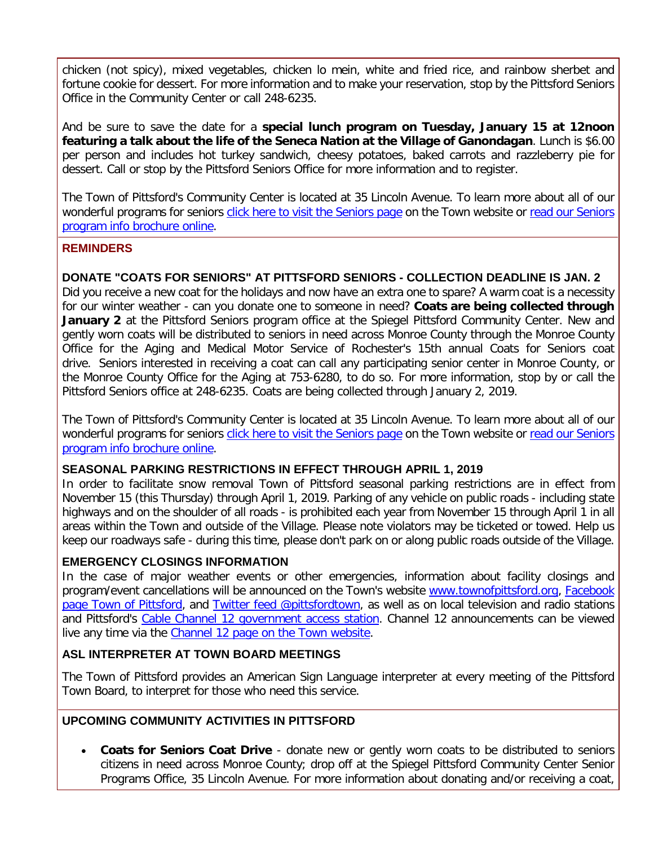chicken (not spicy), mixed vegetables, chicken lo mein, white and fried rice, and rainbow sherbet and fortune cookie for dessert. For more information and to make your reservation, stop by the Pittsford Seniors Office in the Community Center or call 248-6235.

And be sure to save the date for a **special lunch program on Tuesday, January 15 at 12noon featuring a talk about the life of the Seneca Nation at the Village of Ganondagan**. Lunch is \$6.00 per person and includes hot turkey sandwich, cheesy potatoes, baked carrots and razzleberry pie for dessert. Call or stop by the Pittsford Seniors Office for more information and to register.

The Town of Pittsford's Community Center is located at 35 Lincoln Avenue. To learn more about all of our wonderful programs for seniors [click here to visit the Seniors page](http://r20.rs6.net/tn.jsp?f=001z6rxLu0QicAOgFI-QZjpQ6DVkm8_qNC6Jbs9n8__GNq5k7xFkuMdovc8RVzdLNDqdUiRph19ojM9JFIo2nrDFK6mRNA01-55Ps7sOqFNO6jRpsw0VwvIemITUSPv9KaqKFtmSDyXijeKjBwpPCJcfEmE8slWUCXyeo06AgXHlmOGLUk0XdkR1ESViAlazVAvamXJ8oUPAR972EA6toticjk1Nhy90Zs3bKzRGsHX6WLTmdLgq-Attktt0oQkPAcJNTF4uKnyEW2NQ8hswQeVCo-zwSdqOItQtk1Qqc9eY_LPWrC7zTKHkWYpstlzj8v3XusNoTpKdbjL1eHWXL5w9dLK8Is183MGOHMNTcjmiwI=&c=JOJlmCrCYqPbGeW6sSs86hmFv7pbMTm2H35ElS0IO91-8tOhgdesJA==&ch=fRpijdKTaITLyia4IadxID9qC4ixyaXZVg3rZrg7HtHJbWe-yvt_aQ==) on the Town website or read our Seniors [program info brochure online.](http://r20.rs6.net/tn.jsp?f=001z6rxLu0QicAOgFI-QZjpQ6DVkm8_qNC6Jbs9n8__GNq5k7xFkuMdogPLKbmrdIO8T_cHx8p05xPc5ZBbfP8TefdqxHm1aMhRvq4coW8gsNGDla7RtlrO8ScG-aPMPH38ND2mu1QF2esoJ1TfJQ9cbVzHsBIJTM5tiCDbALAfvaeQRMw1UDWptvBFlXSjWoLPI6iHyw706wzn9ZY4S5oSwBKn_Lc6NDoTANHCXfa4mg1QhfTeACCsgF3yOkhdtbFEW0CV6o1IzfF5iUcGwC6VOIeeyWpxoPf1a9nVToINqH3LZFrhz8vaaxSJi395MGI5xpCgeZa28ObvmiHhDGSlgB5or6w3Ef6-P7DhQOhCTAd0r6qR7vmO77gSS7fT3LBxBU4sGN6D_tBmIQmP7yG-wsdMROYYvL1vTlRHkCJstng=&c=JOJlmCrCYqPbGeW6sSs86hmFv7pbMTm2H35ElS0IO91-8tOhgdesJA==&ch=fRpijdKTaITLyia4IadxID9qC4ixyaXZVg3rZrg7HtHJbWe-yvt_aQ==)

#### **REMINDERS**

#### **DONATE "COATS FOR SENIORS" AT PITTSFORD SENIORS - COLLECTION DEADLINE IS JAN. 2**

Did you receive a new coat for the holidays and now have an extra one to spare? A warm coat is a necessity for our winter weather - can you donate one to someone in need? **Coats are being collected through January 2** at the Pittsford Seniors program office at the Spiegel Pittsford Community Center. New and gently worn coats will be distributed to seniors in need across Monroe County through the Monroe County Office for the Aging and Medical Motor Service of Rochester's 15th annual Coats for Seniors coat drive. Seniors interested in receiving a coat can call any participating senior center in Monroe County, or the Monroe County Office for the Aging at 753-6280, to do so. For more information, stop by or call the Pittsford Seniors office at 248-6235. Coats are being collected through January 2, 2019.

The Town of Pittsford's Community Center is located at 35 Lincoln Avenue. To learn more about all of our wonderful programs for seniors [click here to visit the Seniors page](http://r20.rs6.net/tn.jsp?f=001z6rxLu0QicAOgFI-QZjpQ6DVkm8_qNC6Jbs9n8__GNq5k7xFkuMdovc8RVzdLNDqdUiRph19ojM9JFIo2nrDFK6mRNA01-55Ps7sOqFNO6jRpsw0VwvIemITUSPv9KaqKFtmSDyXijeKjBwpPCJcfEmE8slWUCXyeo06AgXHlmOGLUk0XdkR1ESViAlazVAvamXJ8oUPAR972EA6toticjk1Nhy90Zs3bKzRGsHX6WLTmdLgq-Attktt0oQkPAcJNTF4uKnyEW2NQ8hswQeVCo-zwSdqOItQtk1Qqc9eY_LPWrC7zTKHkWYpstlzj8v3XusNoTpKdbjL1eHWXL5w9dLK8Is183MGOHMNTcjmiwI=&c=JOJlmCrCYqPbGeW6sSs86hmFv7pbMTm2H35ElS0IO91-8tOhgdesJA==&ch=fRpijdKTaITLyia4IadxID9qC4ixyaXZVg3rZrg7HtHJbWe-yvt_aQ==) on the Town website or read our Seniors [program info brochure online.](http://r20.rs6.net/tn.jsp?f=001z6rxLu0QicAOgFI-QZjpQ6DVkm8_qNC6Jbs9n8__GNq5k7xFkuMdogPLKbmrdIO8T_cHx8p05xPc5ZBbfP8TefdqxHm1aMhRvq4coW8gsNGDla7RtlrO8ScG-aPMPH38ND2mu1QF2esoJ1TfJQ9cbVzHsBIJTM5tiCDbALAfvaeQRMw1UDWptvBFlXSjWoLPI6iHyw706wzn9ZY4S5oSwBKn_Lc6NDoTANHCXfa4mg1QhfTeACCsgF3yOkhdtbFEW0CV6o1IzfF5iUcGwC6VOIeeyWpxoPf1a9nVToINqH3LZFrhz8vaaxSJi395MGI5xpCgeZa28ObvmiHhDGSlgB5or6w3Ef6-P7DhQOhCTAd0r6qR7vmO77gSS7fT3LBxBU4sGN6D_tBmIQmP7yG-wsdMROYYvL1vTlRHkCJstng=&c=JOJlmCrCYqPbGeW6sSs86hmFv7pbMTm2H35ElS0IO91-8tOhgdesJA==&ch=fRpijdKTaITLyia4IadxID9qC4ixyaXZVg3rZrg7HtHJbWe-yvt_aQ==)

#### **SEASONAL PARKING RESTRICTIONS IN EFFECT THROUGH APRIL 1, 2019**

In order to facilitate snow removal Town of Pittsford seasonal parking restrictions are in effect from November 15 (this Thursday) through April 1, 2019. Parking of any vehicle on public roads - including state highways and on the shoulder of all roads - is prohibited each year from November 15 through April 1 in all areas within the Town and outside of the Village. Please note violators may be ticketed or towed. Help us keep our roadways safe - during this time, please don't park on or along public roads outside of the Village.

#### **EMERGENCY CLOSINGS INFORMATION**

In the case of major weather events or other emergencies, information about facility closings and program/event cancellations will be announced on the Town's website [www.townofpittsford.org,](http://townofpittsford.org/?utm_source=FINAL+EDITION+eNews+1-2-19&utm_campaign=FINAL+EDITION%3A+eNews+01-02-19&utm_medium=email) [Facebook](https://www.facebook.com/pages/Town-of-Pittsford/139082619464200)  [page Town of Pittsford,](https://www.facebook.com/pages/Town-of-Pittsford/139082619464200) and [Twitter feed @pittsfordtown,](http://r20.rs6.net/tn.jsp?f=001z6rxLu0QicAOgFI-QZjpQ6DVkm8_qNC6Jbs9n8__GNq5k7xFkuMdonlLkD7JORKLmn1q1rvmNLv7_DuH686o2DRfeeW5ysRJwnQjFOF8tlK3rzFIod6WfwJVzVkNZUwU1xo2X8ytB-DQdlCjnfCsh1QPXlQaA6X0pz7FGc38tqo-VnTKzyGL3w==&c=JOJlmCrCYqPbGeW6sSs86hmFv7pbMTm2H35ElS0IO91-8tOhgdesJA==&ch=fRpijdKTaITLyia4IadxID9qC4ixyaXZVg3rZrg7HtHJbWe-yvt_aQ==) as well as on local television and radio stations and Pittsford's [Cable Channel 12 government access station.](http://townofpittsford.org/home-channel12?utm_source=FINAL+EDITION+eNews+1-2-19&utm_campaign=FINAL+EDITION%3A+eNews+01-02-19&utm_medium=email) Channel 12 announcements can be viewed live any time via the [Channel 12 page on the Town website.](http://townofpittsford.org/home-channel12?utm_source=FINAL+EDITION+eNews+1-2-19&utm_campaign=FINAL+EDITION%3A+eNews+01-02-19&utm_medium=email)

#### **ASL INTERPRETER AT TOWN BOARD MEETINGS**

The Town of Pittsford provides an American Sign Language interpreter at every meeting of the Pittsford Town Board, to interpret for those who need this service.

#### **UPCOMING COMMUNITY ACTIVITIES IN PITTSFORD**

• **Coats for Seniors Coat Drive** - donate new or gently worn coats to be distributed to seniors citizens in need across Monroe County; drop off at the Spiegel Pittsford Community Center Senior Programs Office, 35 Lincoln Avenue. For more information about donating and/or receiving a coat,